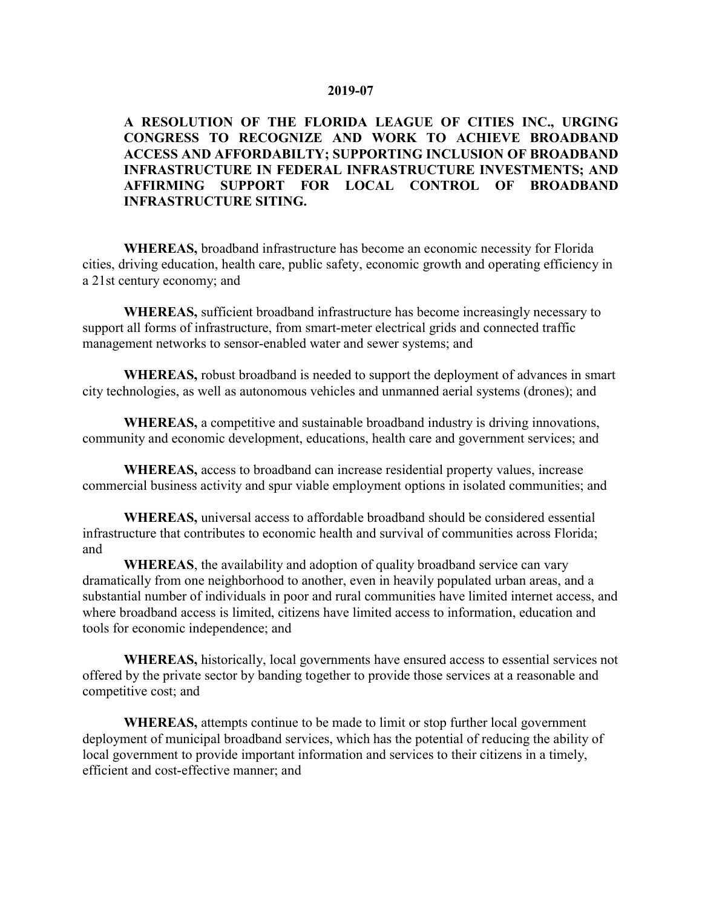## 2019-07

## A RESOLUTION OF THE FLORIDA LEAGUE OF CITIES INC., URGING CONGRESS TO RECOGNIZE AND WORK TO ACHIEVE BROADBAND ACCESS AND AFFORDABILTY; SUPPORTING INCLUSION OF BROADBAND INFRASTRUCTURE IN FEDERAL INFRASTRUCTURE INVESTMENTS; AND AFFIRMING SUPPORT FOR LOCAL CONTROL OF BROADBAND INFRASTRUCTURE SITING.

WHEREAS, broadband infrastructure has become an economic necessity for Florida cities, driving education, health care, public safety, economic growth and operating efficiency in a 21st century economy; and

WHEREAS, sufficient broadband infrastructure has become increasingly necessary to support all forms of infrastructure, from smart-meter electrical grids and connected traffic management networks to sensor-enabled water and sewer systems; and

WHEREAS, robust broadband is needed to support the deployment of advances in smart city technologies, as well as autonomous vehicles and unmanned aerial systems (drones); and

WHEREAS, a competitive and sustainable broadband industry is driving innovations, community and economic development, educations, health care and government services; and

WHEREAS, access to broadband can increase residential property values, increase commercial business activity and spur viable employment options in isolated communities; and

WHEREAS, universal access to affordable broadband should be considered essential infrastructure that contributes to economic health and survival of communities across Florida; and

WHEREAS, the availability and adoption of quality broadband service can vary dramatically from one neighborhood to another, even in heavily populated urban areas, and a substantial number of individuals in poor and rural communities have limited internet access, and where broadband access is limited, citizens have limited access to information, education and tools for economic independence; and

WHEREAS, historically, local governments have ensured access to essential services not offered by the private sector by banding together to provide those services at a reasonable and competitive cost; and

WHEREAS, attempts continue to be made to limit or stop further local government deployment of municipal broadband services, which has the potential of reducing the ability of local government to provide important information and services to their citizens in a timely, efficient and cost-effective manner; and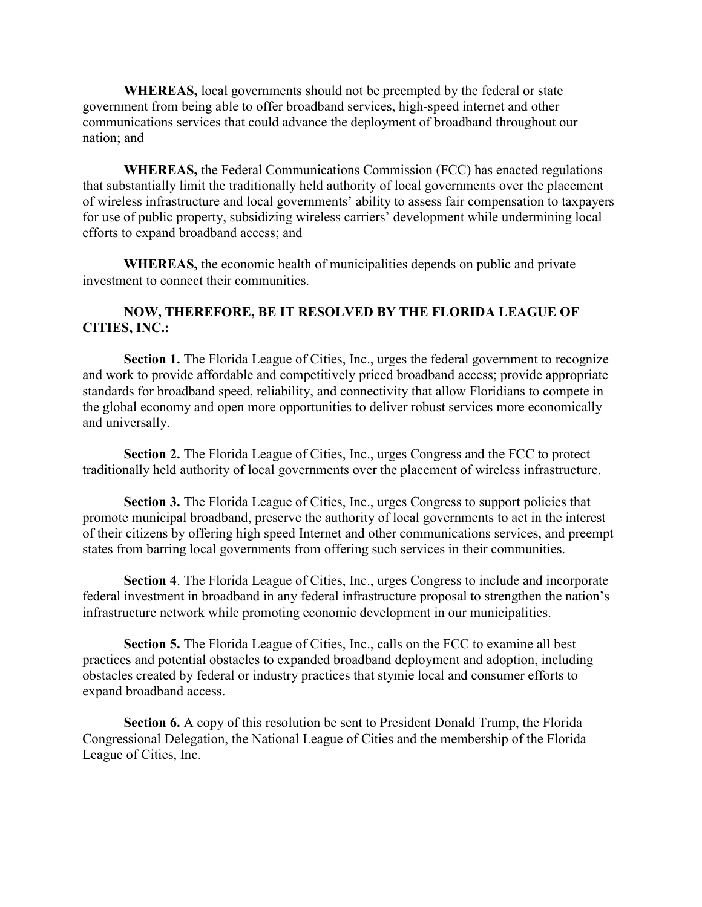WHEREAS, local governments should not be preempted by the federal or state government from being able to offer broadband services, high-speed internet and other communications services that could advance the deployment of broadband throughout our nation; and

WHEREAS, the Federal Communications Commission (FCC) has enacted regulations that substantially limit the traditionally held authority of local governments over the placement of wireless infrastructure and local governments' ability to assess fair compensation to taxpayers for use of public property, subsidizing wireless carriers' development while undermining local efforts to expand broadband access; and

WHEREAS, the economic health of municipalities depends on public and private investment to connect their communities.

## NOW, THEREFORE, BE IT RESOLVED BY THE FLORIDA LEAGUE OF CITIES, INC.:

Section 1. The Florida League of Cities, Inc., urges the federal government to recognize and work to provide affordable and competitively priced broadband access; provide appropriate standards for broadband speed, reliability, and connectivity that allow Floridians to compete in the global economy and open more opportunities to deliver robust services more economically and universally.

Section 2. The Florida League of Cities, Inc., urges Congress and the FCC to protect traditionally held authority of local governments over the placement of wireless infrastructure.

Section 3. The Florida League of Cities, Inc., urges Congress to support policies that promote municipal broadband, preserve the authority of local governments to act in the interest of their citizens by offering high speed Internet and other communications services, and preempt states from barring local governments from offering such services in their communities.

Section 4. The Florida League of Cities, Inc., urges Congress to include and incorporate federal investment in broadband in any federal infrastructure proposal to strengthen the nation's infrastructure network while promoting economic development in our municipalities.

Section 5. The Florida League of Cities, Inc., calls on the FCC to examine all best practices and potential obstacles to expanded broadband deployment and adoption, including obstacles created by federal or industry practices that stymie local and consumer efforts to expand broadband access.

Section 6. A copy of this resolution be sent to President Donald Trump, the Florida Congressional Delegation, the National League of Cities and the membership of the Florida League of Cities, Inc.